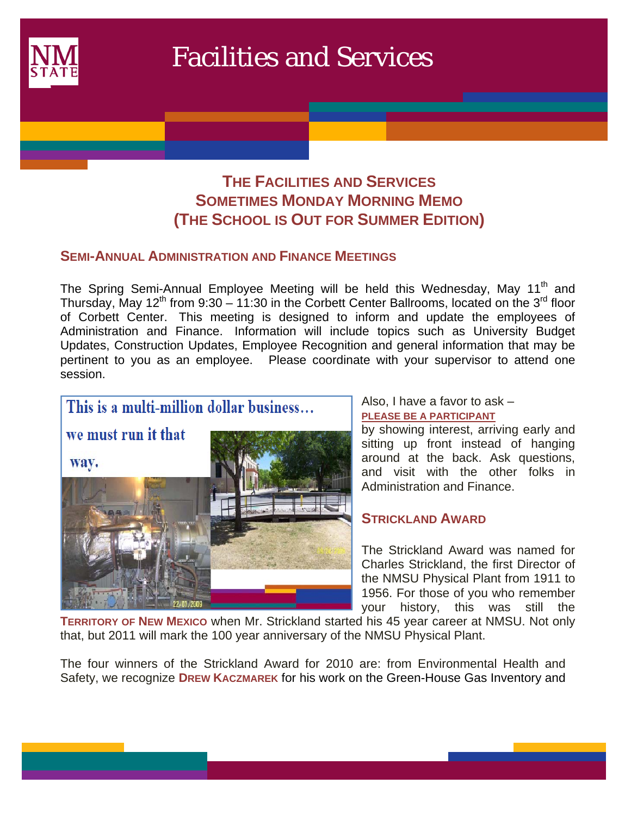

# **THE FACILITIES AND SERVICES SOMETIMES MONDAY MORNING MEMO (THE SCHOOL IS OUT FOR SUMMER EDITION)**

## **SEMI-ANNUAL ADMINISTRATION AND FINANCE MEETINGS**

The Spring Semi-Annual Employee Meeting will be held this Wednesday, May 11<sup>th</sup> and Thursday, May 12<sup>th</sup> from 9:30 – 11:30 in the Corbett Center Ballrooms, located on the 3<sup>rd</sup> floor of Corbett Center. This meeting is designed to inform and update the employees of Administration and Finance. Information will include topics such as University Budget Updates, Construction Updates, Employee Recognition and general information that may be pertinent to you as an employee. Please coordinate with your supervisor to attend one session.



Also, I have a favor to ask –

#### **PLEASE BE A PARTICIPANT**

by showing interest, arriving early and sitting up front instead of hanging around at the back. Ask questions, and visit with the other folks in Administration and Finance.

## **STRICKLAND AWARD**

The Strickland Award was named for Charles Strickland, the first Director of the NMSU Physical Plant from 1911 to 1956. For those of you who remember your history, this was still the

**TERRITORY OF NEW MEXICO** when Mr. Strickland started his 45 year career at NMSU. Not only that, but 2011 will mark the 100 year anniversary of the NMSU Physical Plant.

The four winners of the Strickland Award for 2010 are: from Environmental Health and Safety, we recognize **DREW KACZMAREK** for his work on the Green-House Gas Inventory and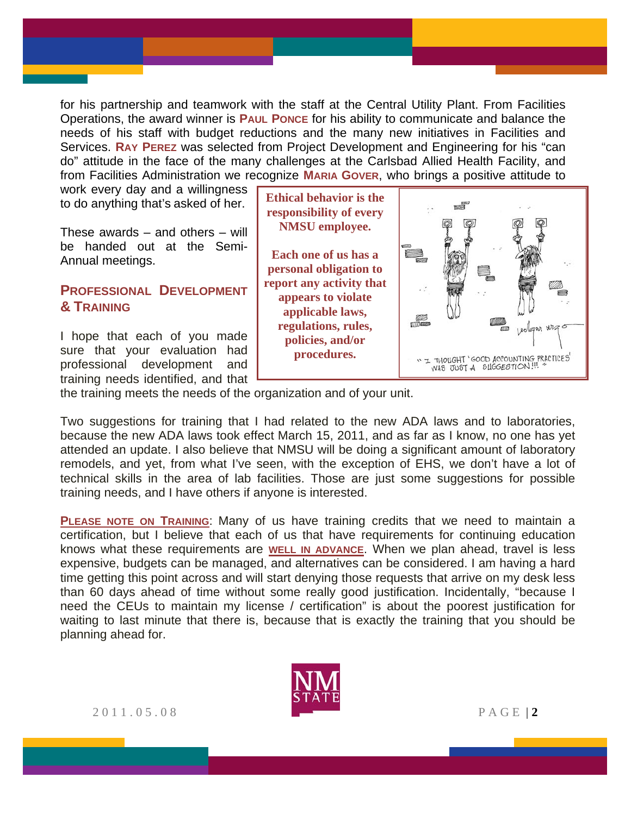for his partnership and teamwork with the staff at the Central Utility Plant. From Facilities Operations, the award winner is **PAUL PONCE** for his ability to communicate and balance the needs of his staff with budget reductions and the many new initiatives in Facilities and Services. **RAY PEREZ** was selected from Project Development and Engineering for his "can do" attitude in the face of the many challenges at the Carlsbad Allied Health Facility, and from Facilities Administration we recognize **MARIA GOVER**, who brings a positive attitude to

work every day and a willingness to do anything that's asked of her.

These awards – and others – will be handed out at the Semi-Annual meetings.

## **PROFESSIONAL DEVELOPMENT & TRAINING**

I hope that each of you made sure that your evaluation had professional development and training needs identified, and that

**Ethical behavior is the responsibility of every NMSU employee. Each one of us has a personal obligation to report any activity that appears to violate applicable laws, regulations, rules, policies, and/or procedures.**" I THOUGHT 'GOOD ACCOUNTING PRACTICES'<br>WAS JUST A SLIGGESTION!!!

the training meets the needs of the organization and of your unit.

Two suggestions for training that I had related to the new ADA laws and to laboratories, because the new ADA laws took effect March 15, 2011, and as far as I know, no one has yet attended an update. I also believe that NMSU will be doing a significant amount of laboratory remodels, and yet, from what I've seen, with the exception of EHS, we don't have a lot of technical skills in the area of lab facilities. Those are just some suggestions for possible training needs, and I have others if anyone is interested.

**PLEASE NOTE ON TRAINING:** Many of us have training credits that we need to maintain a certification, but I believe that each of us that have requirements for continuing education knows what these requirements are **WELL IN ADVANCE**. When we plan ahead, travel is less expensive, budgets can be managed, and alternatives can be considered. I am having a hard time getting this point across and will start denying those requests that arrive on my desk less than 60 days ahead of time without some really good justification. Incidentally, "because I need the CEUs to maintain my license / certification" is about the poorest justification for waiting to last minute that there is, because that is exactly the training that you should be planning ahead for.



2011.05.08 PAGE | **2**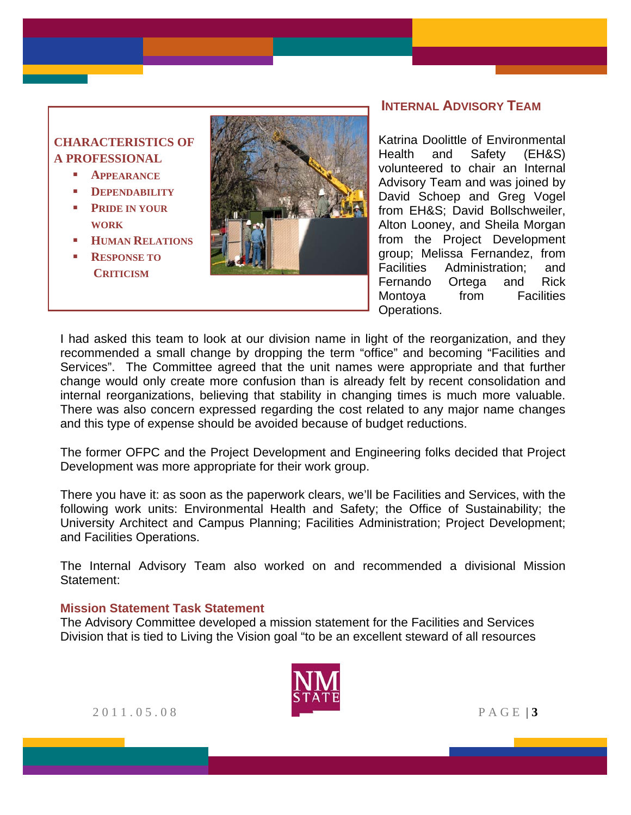# **CHARACTERISTICS OF A PROFESSIONAL**

- **APPEARANCE**
- **DEPENDABILITY**
- **PRIDE IN YOUR WORK**
- *HUMAN RELATIONS*
- **RESPONSE TO CRITICISM**



### **INTERNAL ADVISORY TEAM**

Katrina Doolittle of Environmental Health and Safety (EH&S) volunteered to chair an Internal Advisory Team and was joined by David Schoep and Greg Vogel from EH&S; David Bollschweiler, Alton Looney, and Sheila Morgan from the Project Development group; Melissa Fernandez, from Facilities Administration; and Fernando Ortega and Rick Montoya from Facilities Operations.

I had asked this team to look at our division name in light of the reorganization, and they recommended a small change by dropping the term "office" and becoming "Facilities and Services". The Committee agreed that the unit names were appropriate and that further change would only create more confusion than is already felt by recent consolidation and internal reorganizations, believing that stability in changing times is much more valuable. There was also concern expressed regarding the cost related to any major name changes and this type of expense should be avoided because of budget reductions.

The former OFPC and the Project Development and Engineering folks decided that Project Development was more appropriate for their work group.

There you have it: as soon as the paperwork clears, we'll be Facilities and Services, with the following work units: Environmental Health and Safety; the Office of Sustainability; the University Architect and Campus Planning; Facilities Administration; Project Development; and Facilities Operations.

The Internal Advisory Team also worked on and recommended a divisional Mission Statement:

#### **Mission Statement Task Statement**

The Advisory Committee developed a mission statement for the Facilities and Services Division that is tied to Living the Vision goal "to be an excellent steward of all resources



2011.05.08 PAGE | **3**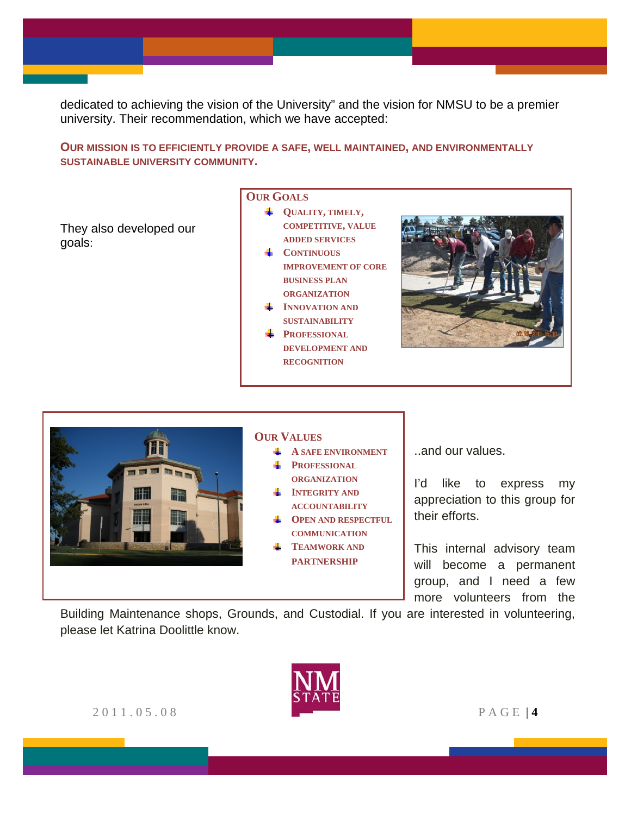dedicated to achieving the vision of the University" and the vision for NMSU to be a premier university. Their recommendation, which we have accepted:

#### **OUR MISSION IS TO EFFICIENTLY PROVIDE A SAFE, WELL MAINTAINED, AND ENVIRONMENTALLY SUSTAINABLE UNIVERSITY COMMUNITY.**

They also developed our goals:

#### **OUR GOALS**

- **QUALITY, TIMELY, COMPETITIVE, VALUE ADDED SERVICES**
- **CONTINUOUS IMPROVEMENT OF CORE BUSINESS PLAN ORGANIZATION**
- **INNOVATION AND SUSTAINABILITY**
- **PROFESSIONAL DEVELOPMENT AND RECOGNITION**





Building Maintenance shops, Grounds, and Custodial. If you are interested in volunteering, please let Katrina Doolittle know.